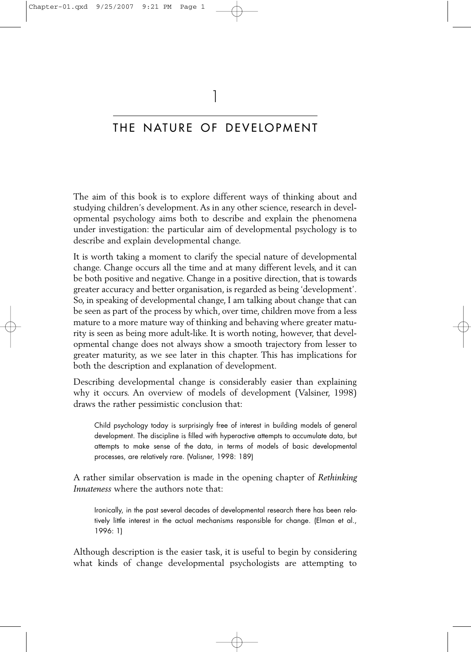# THE NATURE OF DEVELOPMENT

1

The aim of this book is to explore different ways of thinking about and studying children's development. As in any other science, research in developmental psychology aims both to describe and explain the phenomena under investigation: the particular aim of developmental psychology is to describe and explain developmental change.

It is worth taking a moment to clarify the special nature of developmental change. Change occurs all the time and at many different levels, and it can be both positive and negative. Change in a positive direction, that is towards greater accuracy and better organisation, is regarded as being 'development'. So, in speaking of developmental change, I am talking about change that can be seen as part of the process by which, over time, children move from a less mature to a more mature way of thinking and behaving where greater maturity is seen as being more adult-like. It is worth noting, however, that developmental change does not always show a smooth trajectory from lesser to greater maturity, as we see later in this chapter. This has implications for both the description and explanation of development.

Describing developmental change is considerably easier than explaining why it occurs. An overview of models of development (Valsiner, 1998) draws the rather pessimistic conclusion that:

Child psychology today is surprisingly free of interest in building models of general development. The discipline is filled with hyperactive attempts to accumulate data, but attempts to make sense of the data, in terms of models of basic developmental processes, are relatively rare. (Valisner, 1998: 189)

A rather similar observation is made in the opening chapter of *Rethinking Innateness* where the authors note that:

Ironically, in the past several decades of developmental research there has been relatively little interest in the actual mechanisms responsible for change. (Elman et al., 1996: 1)

Although description is the easier task, it is useful to begin by considering what kinds of change developmental psychologists are attempting to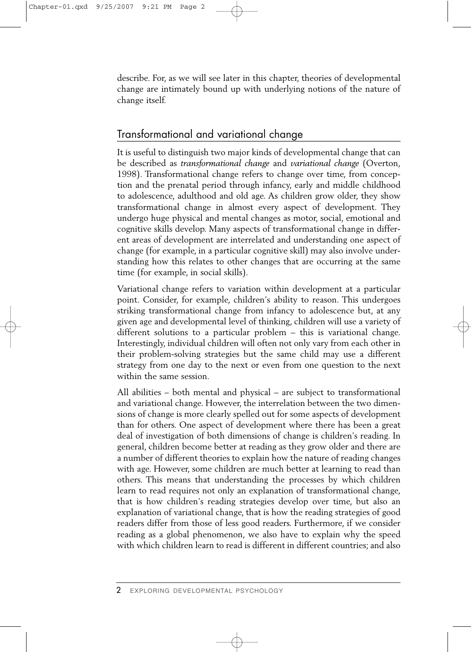describe. For, as we will see later in this chapter, theories of developmental change are intimately bound up with underlying notions of the nature of change itself.

#### Transformational and variational change

It is useful to distinguish two major kinds of developmental change that can be described as *transformational change* and *variational change* (Overton, 1998). Transformational change refers to change over time, from conception and the prenatal period through infancy, early and middle childhood to adolescence, adulthood and old age. As children grow older, they show transformational change in almost every aspect of development. They undergo huge physical and mental changes as motor, social, emotional and cognitive skills develop. Many aspects of transformational change in different areas of development are interrelated and understanding one aspect of change (for example, in a particular cognitive skill) may also involve understanding how this relates to other changes that are occurring at the same time (for example, in social skills).

Variational change refers to variation within development at a particular point. Consider, for example, children's ability to reason. This undergoes striking transformational change from infancy to adolescence but, at any given age and developmental level of thinking, children will use a variety of different solutions to a particular problem – this is variational change. Interestingly, individual children will often not only vary from each other in their problem-solving strategies but the same child may use a different strategy from one day to the next or even from one question to the next within the same session.

All abilities – both mental and physical – are subject to transformational and variational change. However, the interrelation between the two dimensions of change is more clearly spelled out for some aspects of development than for others. One aspect of development where there has been a great deal of investigation of both dimensions of change is children's reading. In general, children become better at reading as they grow older and there are a number of different theories to explain how the nature of reading changes with age. However, some children are much better at learning to read than others. This means that understanding the processes by which children learn to read requires not only an explanation of transformational change, that is how children's reading strategies develop over time, but also an explanation of variational change, that is how the reading strategies of good readers differ from those of less good readers. Furthermore, if we consider reading as a global phenomenon, we also have to explain why the speed with which children learn to read is different in different countries; and also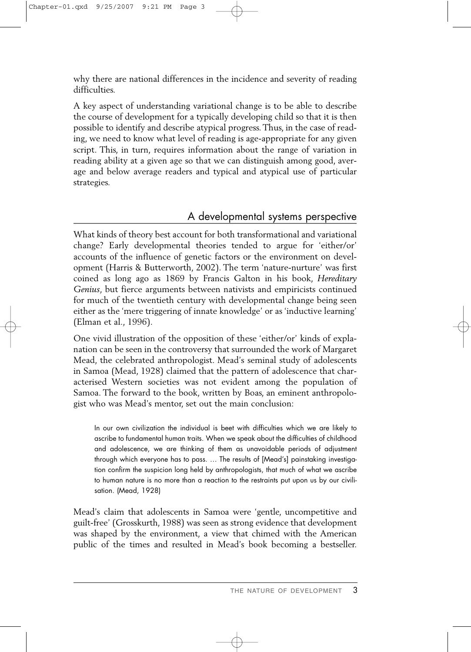why there are national differences in the incidence and severity of reading difficulties.

A key aspect of understanding variational change is to be able to describe the course of development for a typically developing child so that it is then possible to identify and describe atypical progress. Thus, in the case of reading, we need to know what level of reading is age-appropriate for any given script. This, in turn, requires information about the range of variation in reading ability at a given age so that we can distinguish among good, average and below average readers and typical and atypical use of particular strategies.

### A developmental systems perspective

What kinds of theory best account for both transformational and variational change? Early developmental theories tended to argue for 'either/or' accounts of the influence of genetic factors or the environment on development (Harris & Butterworth, 2002). The term 'nature-nurture' was first coined as long ago as 1869 by Francis Galton in his book, *Hereditary Genius*, but fierce arguments between nativists and empiricists continued for much of the twentieth century with developmental change being seen either as the 'mere triggering of innate knowledge' or as 'inductive learning' (Elman et al., 1996).

One vivid illustration of the opposition of these 'either/or' kinds of explanation can be seen in the controversy that surrounded the work of Margaret Mead, the celebrated anthropologist. Mead's seminal study of adolescents in Samoa (Mead, 1928) claimed that the pattern of adolescence that characterised Western societies was not evident among the population of Samoa. The forward to the book, written by Boas, an eminent anthropologist who was Mead's mentor, set out the main conclusion:

In our own civilization the individual is beet with difficulties which we are likely to ascribe to fundamental human traits. When we speak about the difficulties of childhood and adolescence, we are thinking of them as unavoidable periods of adjustment through which everyone has to pass. … The results of [Mead's] painstaking investigation confirm the suspicion long held by anthropologists, that much of what we ascribe to human nature is no more than a reaction to the restraints put upon us by our civilisation. (Mead, 1928)

Mead's claim that adolescents in Samoa were 'gentle, uncompetitive and guilt-free' (Grosskurth, 1988) was seen as strong evidence that development was shaped by the environment, a view that chimed with the American public of the times and resulted in Mead's book becoming a bestseller.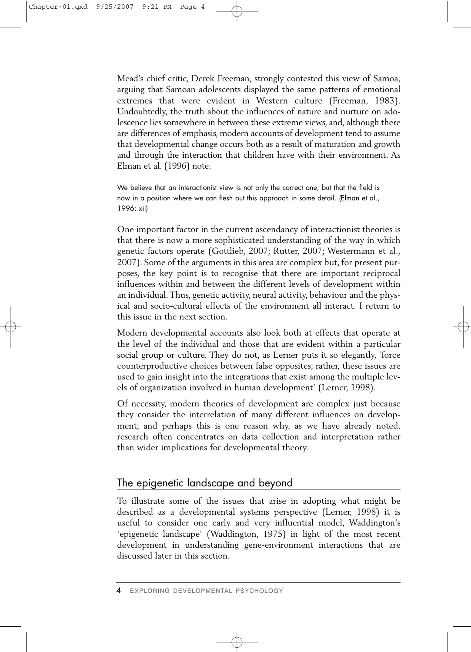Mead's chief critic, Derek Freeman, strongly contested this view of Samoa, arguing that Samoan adolescents displayed the same patterns of emotional extremes that were evident in Western culture (Freeman, 1983). Undoubtedly, the truth about the influences of nature and nurture on adolescence lies somewhere in between these extreme views, and, although there are differences of emphasis, modern accounts of development tend to assume that developmental change occurs both as a result of maturation and growth and through the interaction that children have with their environment. As Elman et al. (1996) note:

We believe that an interactionist view is not only the correct one, but that the field is now in a position where we can flesh out this approach in some detail. (Elman et al., 1996: xii)

One important factor in the current ascendancy of interactionist theories is that there is now a more sophisticated understanding of the way in which genetic factors operate (Gottlieb, 2007; Rutter, 2007; Westermann et al., 2007). Some of the arguments in this area are complex but, for present purposes, the key point is to recognise that there are important reciprocal influences within and between the different levels of development within an individual. Thus, genetic activity, neural activity, behaviour and the physical and socio-cultural effects of the environment all interact. I return to this issue in the next section.

Modern developmental accounts also look both at effects that operate at the level of the individual and those that are evident within a particular social group or culture. They do not, as Lerner puts it so elegantly, 'force counterproductive choices between false opposites; rather, these issues are used to gain insight into the integrations that exist among the multiple levels of organization involved in human development' (Lerner, 1998).

Of necessity, modern theories of development are complex just because they consider the interrelation of many different influences on development; and perhaps this is one reason why, as we have already noted, research often concentrates on data collection and interpretation rather than wider implications for developmental theory.

### The epigenetic landscape and beyond

To illustrate some of the issues that arise in adopting what might be described as a developmental systems perspective (Lerner, 1998) it is useful to consider one early and very influential model, Waddington's 'epigenetic landscape' (Waddington, 1975) in light of the most recent development in understanding gene-environment interactions that are discussed later in this section.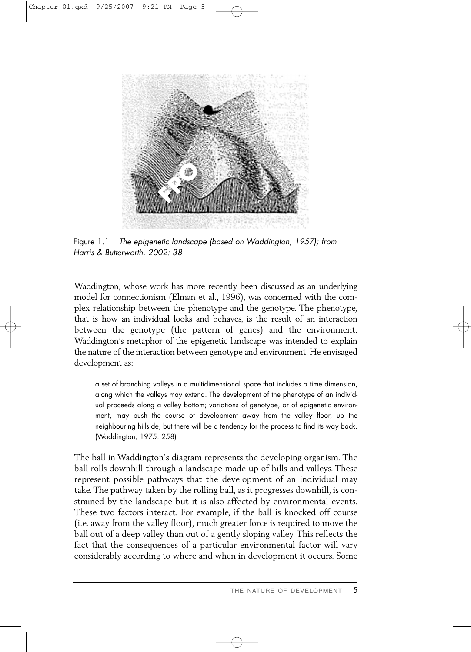

Figure 1.1 The epigenetic landscape (based on Waddington, 1957); from Harris & Butterworth, 2002: 38

Waddington, whose work has more recently been discussed as an underlying model for connectionism (Elman et al., 1996), was concerned with the complex relationship between the phenotype and the genotype. The phenotype, that is how an individual looks and behaves, is the result of an interaction between the genotype (the pattern of genes) and the environment. Waddington's metaphor of the epigenetic landscape was intended to explain the nature of the interaction between genotype and environment. He envisaged development as:

a set of branching valleys in a multidimensional space that includes a time dimension, along which the valleys may extend. The development of the phenotype of an individual proceeds along a valley bottom; variations of genotype, or of epigenetic environment, may push the course of development away from the valley floor, up the neighbouring hillside, but there will be a tendency for the process to find its way back. (Waddington, 1975: 258)

The ball in Waddington's diagram represents the developing organism. The ball rolls downhill through a landscape made up of hills and valleys. These represent possible pathways that the development of an individual may take.The pathway taken by the rolling ball, as it progresses downhill, is constrained by the landscape but it is also affected by environmental events. These two factors interact. For example, if the ball is knocked off course (i.e. away from the valley floor), much greater force is required to move the ball out of a deep valley than out of a gently sloping valley. This reflects the fact that the consequences of a particular environmental factor will vary considerably according to where and when in development it occurs. Some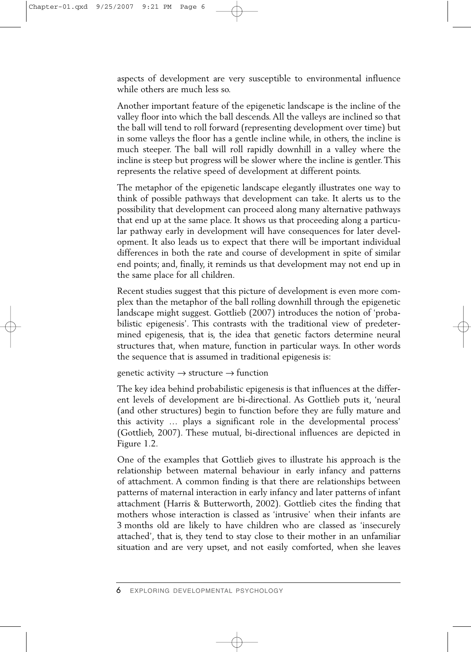aspects of development are very susceptible to environmental influence while others are much less so.

Another important feature of the epigenetic landscape is the incline of the valley floor into which the ball descends. All the valleys are inclined so that the ball will tend to roll forward (representing development over time) but in some valleys the floor has a gentle incline while, in others, the incline is much steeper. The ball will roll rapidly downhill in a valley where the incline is steep but progress will be slower where the incline is gentler. This represents the relative speed of development at different points.

The metaphor of the epigenetic landscape elegantly illustrates one way to think of possible pathways that development can take. It alerts us to the possibility that development can proceed along many alternative pathways that end up at the same place. It shows us that proceeding along a particular pathway early in development will have consequences for later development. It also leads us to expect that there will be important individual differences in both the rate and course of development in spite of similar end points; and, finally, it reminds us that development may not end up in the same place for all children.

Recent studies suggest that this picture of development is even more complex than the metaphor of the ball rolling downhill through the epigenetic landscape might suggest. Gottlieb (2007) introduces the notion of 'probabilistic epigenesis'. This contrasts with the traditional view of predetermined epigenesis, that is, the idea that genetic factors determine neural structures that, when mature, function in particular ways. In other words the sequence that is assumed in traditional epigenesis is:

#### genetic activity  $\rightarrow$  structure  $\rightarrow$  function

The key idea behind probabilistic epigenesis is that influences at the different levels of development are bi-directional. As Gottlieb puts it, 'neural (and other structures) begin to function before they are fully mature and this activity … plays a significant role in the developmental process' (Gottlieb, 2007). These mutual, bi-directional influences are depicted in Figure 1.2.

One of the examples that Gottlieb gives to illustrate his approach is the relationship between maternal behaviour in early infancy and patterns of attachment. A common finding is that there are relationships between patterns of maternal interaction in early infancy and later patterns of infant attachment (Harris & Butterworth, 2002). Gottlieb cites the finding that mothers whose interaction is classed as 'intrusive' when their infants are 3 months old are likely to have children who are classed as 'insecurely attached', that is, they tend to stay close to their mother in an unfamiliar situation and are very upset, and not easily comforted, when she leaves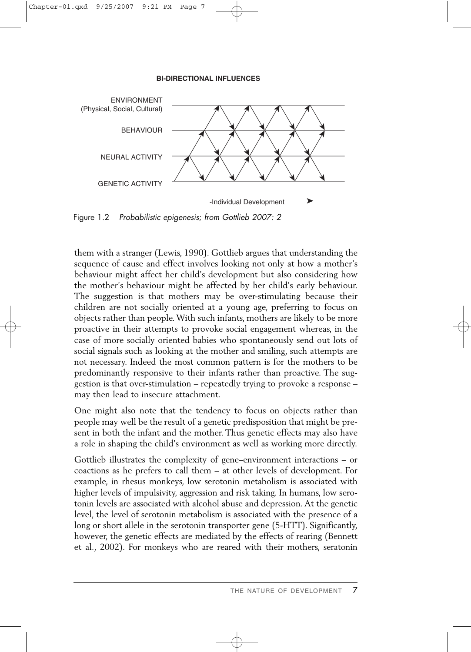#### **BI-DIRECTIONAL INFLUENCES**



Figure 1.2 Probabilistic epigenesis; from Gottlieb 2007: 2

them with a stranger (Lewis, 1990). Gottlieb argues that understanding the sequence of cause and effect involves looking not only at how a mother's behaviour might affect her child's development but also considering how the mother's behaviour might be affected by her child's early behaviour. The suggestion is that mothers may be over-stimulating because their children are not socially oriented at a young age, preferring to focus on objects rather than people. With such infants, mothers are likely to be more proactive in their attempts to provoke social engagement whereas, in the case of more socially oriented babies who spontaneously send out lots of social signals such as looking at the mother and smiling, such attempts are not necessary. Indeed the most common pattern is for the mothers to be predominantly responsive to their infants rather than proactive. The suggestion is that over-stimulation – repeatedly trying to provoke a response – may then lead to insecure attachment.

One might also note that the tendency to focus on objects rather than people may well be the result of a genetic predisposition that might be present in both the infant and the mother. Thus genetic effects may also have a role in shaping the child's environment as well as working more directly.

Gottlieb illustrates the complexity of gene–environment interactions – or coactions as he prefers to call them – at other levels of development. For example, in rhesus monkeys, low serotonin metabolism is associated with higher levels of impulsivity, aggression and risk taking. In humans, low serotonin levels are associated with alcohol abuse and depression. At the genetic level, the level of serotonin metabolism is associated with the presence of a long or short allele in the serotonin transporter gene (5-HTT). Significantly, however, the genetic effects are mediated by the effects of rearing (Bennett et al., 2002). For monkeys who are reared with their mothers, seratonin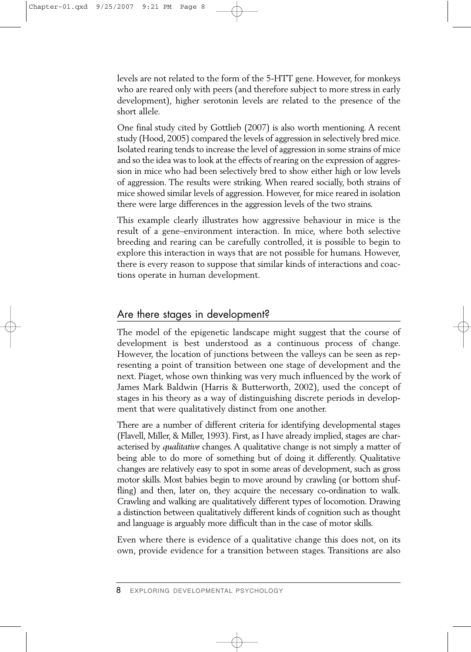levels are not related to the form of the 5-HTT gene. However, for monkeys who are reared only with peers (and therefore subject to more stress in early development), higher serotonin levels are related to the presence of the short allele.

One final study cited by Gottlieb (2007) is also worth mentioning. A recent study (Hood, 2005) compared the levels of aggression in selectively bred mice. Isolated rearing tends to increase the level of aggression in some strains of mice and so the idea was to look at the effects of rearing on the expression of aggression in mice who had been selectively bred to show either high or low levels of aggression. The results were striking. When reared socially, both strains of mice showed similar levels of aggression. However, for mice reared in isolation there were large differences in the aggression levels of the two strains.

This example clearly illustrates how aggressive behaviour in mice is the result of a gene–environment interaction. In mice, where both selective breeding and rearing can be carefully controlled, it is possible to begin to explore this interaction in ways that are not possible for humans. However, there is every reason to suppose that similar kinds of interactions and coactions operate in human development.

# Are there stages in development?

The model of the epigenetic landscape might suggest that the course of development is best understood as a continuous process of change. However, the location of junctions between the valleys can be seen as representing a point of transition between one stage of development and the next. Piaget, whose own thinking was very much influenced by the work of James Mark Baldwin (Harris & Butterworth, 2002), used the concept of stages in his theory as a way of distinguishing discrete periods in development that were qualitatively distinct from one another.

There are a number of different criteria for identifying developmental stages (Flavell, Miller, & Miller, 1993). First, as I have already implied, stages are characterised by *qualitative* changes. A qualitative change is not simply a matter of being able to do more of something but of doing it differently. Qualitative changes are relatively easy to spot in some areas of development, such as gross motor skills. Most babies begin to move around by crawling (or bottom shuffling) and then, later on, they acquire the necessary co-ordination to walk. Crawling and walking are qualitatively different types of locomotion. Drawing a distinction between qualitatively different kinds of cognition such as thought and language is arguably more difficult than in the case of motor skills.

Even where there is evidence of a qualitative change this does not, on its own, provide evidence for a transition between stages. Transitions are also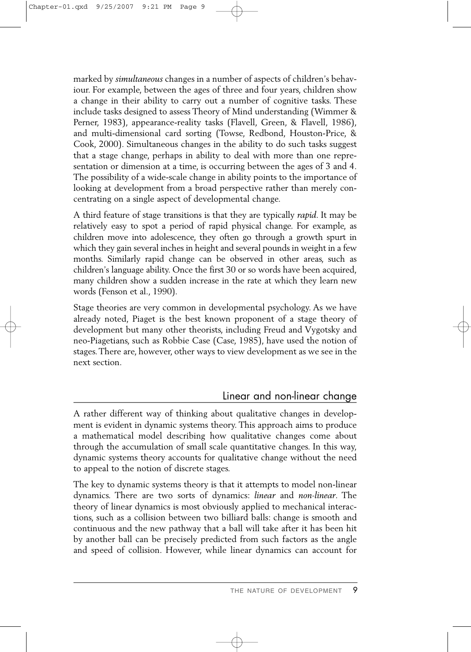marked by *simultaneous* changes in a number of aspects of children's behaviour. For example, between the ages of three and four years, children show a change in their ability to carry out a number of cognitive tasks. These include tasks designed to assess Theory of Mind understanding (Wimmer & Perner, 1983), appearance-reality tasks (Flavell, Green, & Flavell, 1986), and multi-dimensional card sorting (Towse, Redbond, Houston-Price, & Cook, 2000). Simultaneous changes in the ability to do such tasks suggest that a stage change, perhaps in ability to deal with more than one representation or dimension at a time, is occurring between the ages of 3 and 4. The possibility of a wide-scale change in ability points to the importance of looking at development from a broad perspective rather than merely concentrating on a single aspect of developmental change.

A third feature of stage transitions is that they are typically *rapid*. It may be relatively easy to spot a period of rapid physical change. For example, as children move into adolescence, they often go through a growth spurt in which they gain several inches in height and several pounds in weight in a few months. Similarly rapid change can be observed in other areas, such as children's language ability. Once the first 30 or so words have been acquired, many children show a sudden increase in the rate at which they learn new words (Fenson et al., 1990).

Stage theories are very common in developmental psychology. As we have already noted, Piaget is the best known proponent of a stage theory of development but many other theorists, including Freud and Vygotsky and neo-Piagetians, such as Robbie Case (Case, 1985), have used the notion of stages. There are, however, other ways to view development as we see in the next section.

# Linear and non-linear change

A rather different way of thinking about qualitative changes in development is evident in dynamic systems theory. This approach aims to produce a mathematical model describing how qualitative changes come about through the accumulation of small scale quantitative changes. In this way, dynamic systems theory accounts for qualitative change without the need to appeal to the notion of discrete stages.

The key to dynamic systems theory is that it attempts to model non-linear dynamics. There are two sorts of dynamics: *linear* and *non-linear*. The theory of linear dynamics is most obviously applied to mechanical interactions, such as a collision between two billiard balls: change is smooth and continuous and the new pathway that a ball will take after it has been hit by another ball can be precisely predicted from such factors as the angle and speed of collision. However, while linear dynamics can account for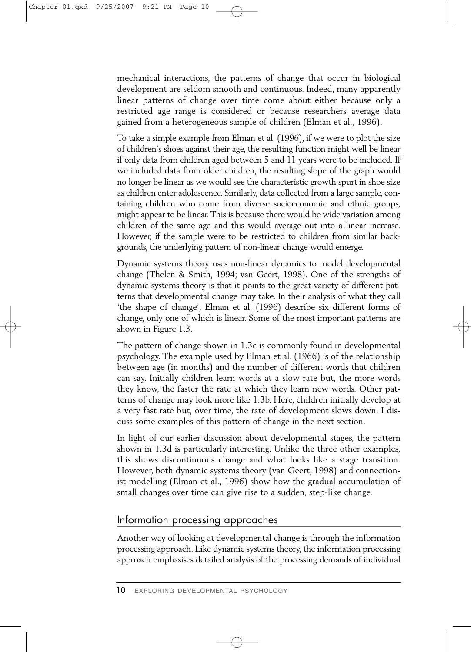mechanical interactions, the patterns of change that occur in biological development are seldom smooth and continuous. Indeed, many apparently linear patterns of change over time come about either because only a restricted age range is considered or because researchers average data gained from a heterogeneous sample of children (Elman et al., 1996).

To take a simple example from Elman et al. (1996), if we were to plot the size of children's shoes against their age, the resulting function might well be linear if only data from children aged between 5 and 11 years were to be included. If we included data from older children, the resulting slope of the graph would no longer be linear as we would see the characteristic growth spurt in shoe size as children enter adolescence. Similarly, data collected from a large sample, containing children who come from diverse socioeconomic and ethnic groups, might appear to be linear.This is because there would be wide variation among children of the same age and this would average out into a linear increase. However, if the sample were to be restricted to children from similar backgrounds, the underlying pattern of non-linear change would emerge.

Dynamic systems theory uses non-linear dynamics to model developmental change (Thelen & Smith, 1994; van Geert, 1998). One of the strengths of dynamic systems theory is that it points to the great variety of different patterns that developmental change may take. In their analysis of what they call 'the shape of change', Elman et al. (1996) describe six different forms of change, only one of which is linear. Some of the most important patterns are shown in Figure 1.3.

The pattern of change shown in 1.3c is commonly found in developmental psychology. The example used by Elman et al. (1966) is of the relationship between age (in months) and the number of different words that children can say. Initially children learn words at a slow rate but, the more words they know, the faster the rate at which they learn new words. Other patterns of change may look more like 1.3b. Here, children initially develop at a very fast rate but, over time, the rate of development slows down. I discuss some examples of this pattern of change in the next section.

In light of our earlier discussion about developmental stages, the pattern shown in 1.3d is particularly interesting. Unlike the three other examples, this shows discontinuous change and what looks like a stage transition. However, both dynamic systems theory (van Geert, 1998) and connectionist modelling (Elman et al., 1996) show how the gradual accumulation of small changes over time can give rise to a sudden, step-like change.

# Information processing approaches

Another way of looking at developmental change is through the information processing approach. Like dynamic systems theory, the information processing approach emphasises detailed analysis of the processing demands of individual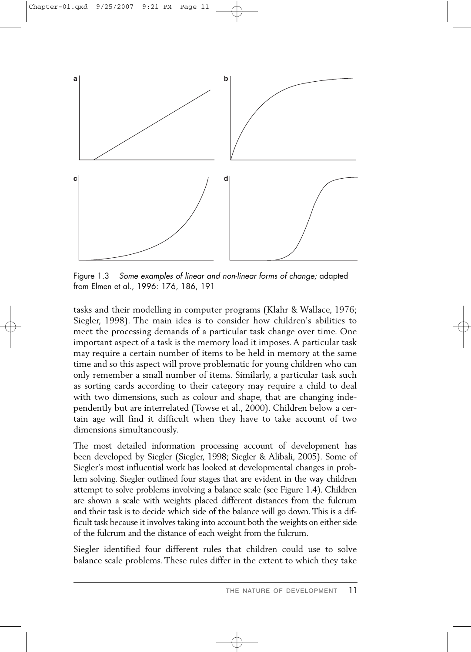

Figure 1.3 Some examples of linear and non-linear forms of change; adapted from Elmen et al., 1996: 176, 186, 191

tasks and their modelling in computer programs (Klahr & Wallace, 1976; Siegler, 1998). The main idea is to consider how children's abilities to meet the processing demands of a particular task change over time. One important aspect of a task is the memory load it imposes. A particular task may require a certain number of items to be held in memory at the same time and so this aspect will prove problematic for young children who can only remember a small number of items. Similarly, a particular task such as sorting cards according to their category may require a child to deal with two dimensions, such as colour and shape, that are changing independently but are interrelated (Towse et al., 2000). Children below a certain age will find it difficult when they have to take account of two dimensions simultaneously.

The most detailed information processing account of development has been developed by Siegler (Siegler, 1998; Siegler & Alibali, 2005). Some of Siegler's most influential work has looked at developmental changes in problem solving. Siegler outlined four stages that are evident in the way children attempt to solve problems involving a balance scale (see Figure 1.4). Children are shown a scale with weights placed different distances from the fulcrum and their task is to decide which side of the balance will go down. This is a difficult task because it involves taking into account both the weights on either side of the fulcrum and the distance of each weight from the fulcrum.

Siegler identified four different rules that children could use to solve balance scale problems. These rules differ in the extent to which they take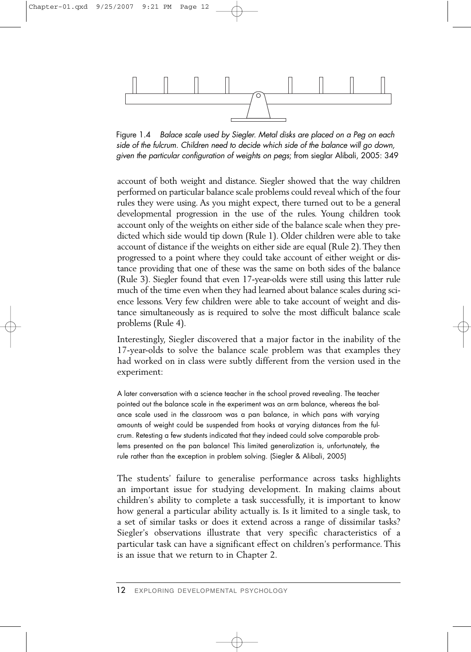

Figure 1.4 Balace scale used by Siegler. Metal disks are placed on a Peg on each side of the fulcrum. Children need to decide which side of the balance will go down, <sup>g</sup>iven the particular configuration of weights on pegs; from sieglar Alibali, 2005: 349

account of both weight and distance. Siegler showed that the way children performed on particular balance scale problems could reveal which of the four rules they were using. As you might expect, there turned out to be a general developmental progression in the use of the rules. Young children took account only of the weights on either side of the balance scale when they predicted which side would tip down (Rule 1). Older children were able to take account of distance if the weights on either side are equal (Rule 2). They then progressed to a point where they could take account of either weight or distance providing that one of these was the same on both sides of the balance (Rule 3). Siegler found that even 17-year-olds were still using this latter rule much of the time even when they had learned about balance scales during science lessons. Very few children were able to take account of weight and distance simultaneously as is required to solve the most difficult balance scale problems (Rule 4).

Interestingly, Siegler discovered that a major factor in the inability of the 17-year-olds to solve the balance scale problem was that examples they had worked on in class were subtly different from the version used in the experiment:

A later conversation with a science teacher in the school proved revealing. The teacher pointed out the balance scale in the experiment was an arm balance, whereas the balance scale used in the classroom was a pan balance, in which pans with varying amounts of weight could be suspended from hooks at varying distances from the fulcrum. Retesting a few students indicated that they indeed could solve comparable problems presented on the pan balance! This limited generalization is, unfortunately, the rule rather than the exception in problem solving. (Siegler & Alibali, 2005)

The students' failure to generalise performance across tasks highlights an important issue for studying development. In making claims about children's ability to complete a task successfully, it is important to know how general a particular ability actually is. Is it limited to a single task, to a set of similar tasks or does it extend across a range of dissimilar tasks? Siegler's observations illustrate that very specific characteristics of a particular task can have a significant effect on children's performance. This is an issue that we return to in Chapter 2.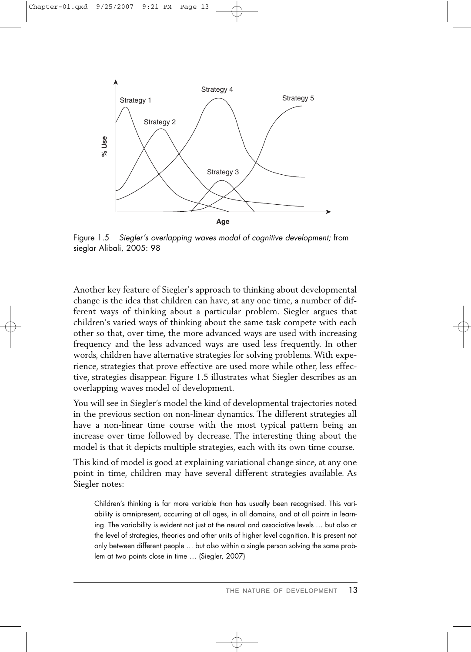

Figure 1.5 Siegler's overlapping waves modal of cognitive development; from sieglar Alibali, 2005: 98

Another key feature of Siegler's approach to thinking about developmental change is the idea that children can have, at any one time, a number of different ways of thinking about a particular problem. Siegler argues that children's varied ways of thinking about the same task compete with each other so that, over time, the more advanced ways are used with increasing frequency and the less advanced ways are used less frequently. In other words, children have alternative strategies for solving problems. With experience, strategies that prove effective are used more while other, less effective, strategies disappear. Figure 1.5 illustrates what Siegler describes as an overlapping waves model of development.

You will see in Siegler's model the kind of developmental trajectories noted in the previous section on non-linear dynamics. The different strategies all have a non-linear time course with the most typical pattern being an increase over time followed by decrease. The interesting thing about the model is that it depicts multiple strategies, each with its own time course.

This kind of model is good at explaining variational change since, at any one point in time, children may have several different strategies available. As Siegler notes:

Children's thinking is far more variable than has usually been recognised. This variability is omnipresent, occurring at all ages, in all domains, and at all points in learning. The variability is evident not just at the neural and associative levels … but also at the level of strategies, theories and other units of higher level cognition. It is present not only between different people … but also within a single person solving the same problem at two points close in time … (Siegler, 2007)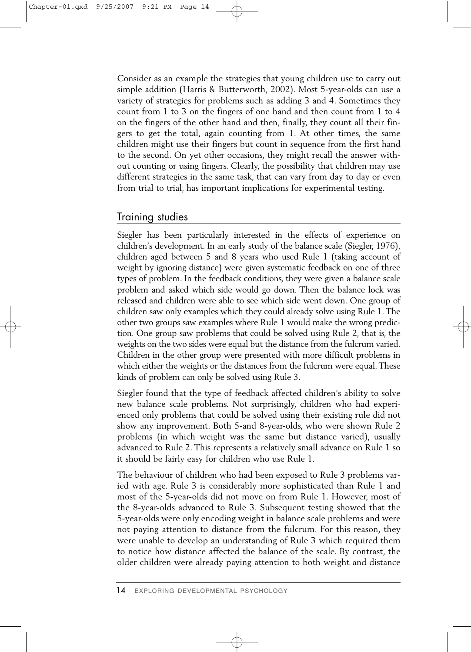Consider as an example the strategies that young children use to carry out simple addition (Harris & Butterworth, 2002). Most 5-year-olds can use a variety of strategies for problems such as adding 3 and 4. Sometimes they count from 1 to 3 on the fingers of one hand and then count from 1 to 4 on the fingers of the other hand and then, finally, they count all their fingers to get the total, again counting from 1. At other times, the same children might use their fingers but count in sequence from the first hand to the second. On yet other occasions, they might recall the answer without counting or using fingers. Clearly, the possibility that children may use different strategies in the same task, that can vary from day to day or even from trial to trial, has important implications for experimental testing.

#### Training studies

Siegler has been particularly interested in the effects of experience on children's development. In an early study of the balance scale (Siegler, 1976), children aged between 5 and 8 years who used Rule 1 (taking account of weight by ignoring distance) were given systematic feedback on one of three types of problem. In the feedback conditions, they were given a balance scale problem and asked which side would go down. Then the balance lock was released and children were able to see which side went down. One group of children saw only examples which they could already solve using Rule 1. The other two groups saw examples where Rule 1 would make the wrong prediction. One group saw problems that could be solved using Rule 2, that is, the weights on the two sides were equal but the distance from the fulcrum varied. Children in the other group were presented with more difficult problems in which either the weights or the distances from the fulcrum were equal. These kinds of problem can only be solved using Rule 3.

Siegler found that the type of feedback affected children's ability to solve new balance scale problems. Not surprisingly, children who had experienced only problems that could be solved using their existing rule did not show any improvement. Both 5-and 8-year-olds, who were shown Rule 2 problems (in which weight was the same but distance varied), usually advanced to Rule 2. This represents a relatively small advance on Rule 1 so it should be fairly easy for children who use Rule 1.

The behaviour of children who had been exposed to Rule 3 problems varied with age. Rule 3 is considerably more sophisticated than Rule 1 and most of the 5-year-olds did not move on from Rule 1. However, most of the 8-year-olds advanced to Rule 3. Subsequent testing showed that the 5-year-olds were only encoding weight in balance scale problems and were not paying attention to distance from the fulcrum. For this reason, they were unable to develop an understanding of Rule 3 which required them to notice how distance affected the balance of the scale. By contrast, the older children were already paying attention to both weight and distance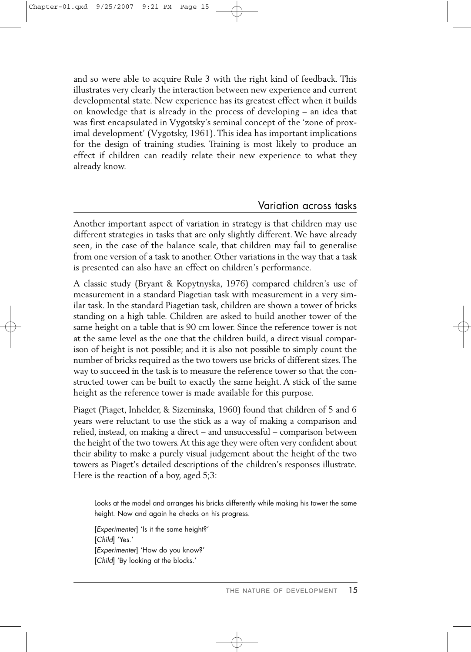and so were able to acquire Rule 3 with the right kind of feedback. This illustrates very clearly the interaction between new experience and current developmental state. New experience has its greatest effect when it builds on knowledge that is already in the process of developing – an idea that was first encapsulated in Vygotsky's seminal concept of the 'zone of proximal development' (Vygotsky, 1961). This idea has important implications for the design of training studies. Training is most likely to produce an effect if children can readily relate their new experience to what they already know.

#### Variation across tasks

Another important aspect of variation in strategy is that children may use different strategies in tasks that are only slightly different. We have already seen, in the case of the balance scale, that children may fail to generalise from one version of a task to another. Other variations in the way that a task is presented can also have an effect on children's performance.

A classic study (Bryant & Kopytnyska, 1976) compared children's use of measurement in a standard Piagetian task with measurement in a very similar task. In the standard Piagetian task, children are shown a tower of bricks standing on a high table. Children are asked to build another tower of the same height on a table that is 90 cm lower. Since the reference tower is not at the same level as the one that the children build, a direct visual comparison of height is not possible; and it is also not possible to simply count the number of bricks required as the two towers use bricks of different sizes.The way to succeed in the task is to measure the reference tower so that the constructed tower can be built to exactly the same height. A stick of the same height as the reference tower is made available for this purpose.

Piaget (Piaget, Inhelder, & Sizeminska, 1960) found that children of 5 and 6 years were reluctant to use the stick as a way of making a comparison and relied, instead, on making a direct – and unsuccessful – comparison between the height of the two towers.At this age they were often very confident about their ability to make a purely visual judgement about the height of the two towers as Piaget's detailed descriptions of the children's responses illustrate. Here is the reaction of a boy, aged 5;3:

Looks at the model and arranges his bricks differently while making his tower the same height. Now and again he checks on his progress.

[Experimenter] 'Is it the same height?' [Child] 'Yes.' [Experimenter] 'How do you know?' [Child] 'By looking at the blocks.'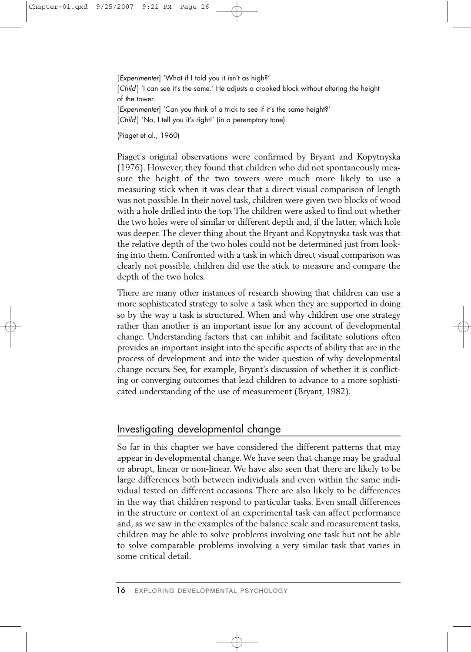[Experimenter] 'What if I told you it isn't as high?' [Child] 'I can see it's the same.' He adjusts a crooked block without altering the height of the tower.

[Experimenter] 'Can you think of a trick to see if it's the same height?' [Child] 'No, I tell you it's right!' (in a peremptory tone).

(Piaget et al., 1960)

Piaget's original observations were confirmed by Bryant and Kopytnyska (1976). However, they found that children who did not spontaneously measure the height of the two towers were much more likely to use a measuring stick when it was clear that a direct visual comparison of length was not possible. In their novel task, children were given two blocks of wood with a hole drilled into the top.The children were asked to find out whether the two holes were of similar or different depth and, if the latter, which hole was deeper. The clever thing about the Bryant and Kopytnyska task was that the relative depth of the two holes could not be determined just from looking into them. Confronted with a task in which direct visual comparison was clearly not possible, children did use the stick to measure and compare the depth of the two holes.

There are many other instances of research showing that children can use a more sophisticated strategy to solve a task when they are supported in doing so by the way a task is structured. When and why children use one strategy rather than another is an important issue for any account of developmental change. Understanding factors that can inhibit and facilitate solutions often provides an important insight into the specific aspects of ability that are in the process of development and into the wider question of why developmental change occurs. See, for example, Bryant's discussion of whether it is conflicting or converging outcomes that lead children to advance to a more sophisticated understanding of the use of measurement (Bryant, 1982).

#### Investigating developmental change

So far in this chapter we have considered the different patterns that may appear in developmental change. We have seen that change may be gradual or abrupt, linear or non-linear. We have also seen that there are likely to be large differences both between individuals and even within the same individual tested on different occasions. There are also likely to be differences in the way that children respond to particular tasks. Even small differences in the structure or context of an experimental task can affect performance and, as we saw in the examples of the balance scale and measurement tasks, children may be able to solve problems involving one task but not be able to solve comparable problems involving a very similar task that varies in some critical detail.